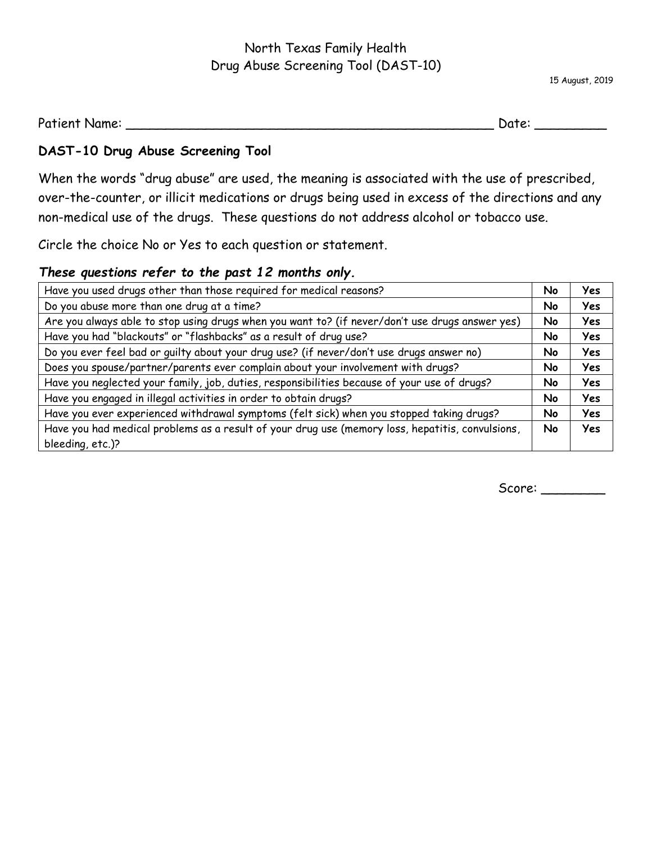## North Texas Family Health Drug Abuse Screening Tool (DAST-10)

15 August, 2019

Patient Name: \_\_\_\_\_\_\_\_\_\_\_\_\_\_\_\_\_\_\_\_\_\_\_\_\_\_\_\_\_\_\_\_\_\_\_\_\_\_\_\_\_\_\_\_\_\_ Date: \_\_\_\_\_\_\_\_\_

## **DAST-10 Drug Abuse Screening Tool**

When the words "drug abuse" are used, the meaning is associated with the use of prescribed, over-the-counter, or illicit medications or drugs being used in excess of the directions and any non-medical use of the drugs. These questions do not address alcohol or tobacco use.

Circle the choice No or Yes to each question or statement.

## *These questions refer to the past 12 months only.*

| Have you used drugs other than those required for medical reasons?                               | No | Yes        |
|--------------------------------------------------------------------------------------------------|----|------------|
| Do you abuse more than one drug at a time?                                                       | No | <b>Yes</b> |
| Are you always able to stop using drugs when you want to? (if never/don't use drugs answer yes)  | No | Yes        |
| Have you had "blackouts" or "flashbacks" as a result of drug use?                                |    |            |
| Do you ever feel bad or guilty about your drug use? (if never/don't use drugs answer no)         |    |            |
| Does you spouse/partner/parents ever complain about your involvement with drugs?                 | No | Yes        |
| Have you neglected your family, job, duties, responsibilities because of your use of drugs?      | No | Yes        |
| Have you engaged in illegal activities in order to obtain drugs?                                 |    | Yes        |
| Have you ever experienced withdrawal symptoms (felt sick) when you stopped taking drugs?         |    | <b>Yes</b> |
| Have you had medical problems as a result of your drug use (memory loss, hepatitis, convulsions, |    | Yes        |
| bleeding, etc.)?                                                                                 |    |            |

Score: